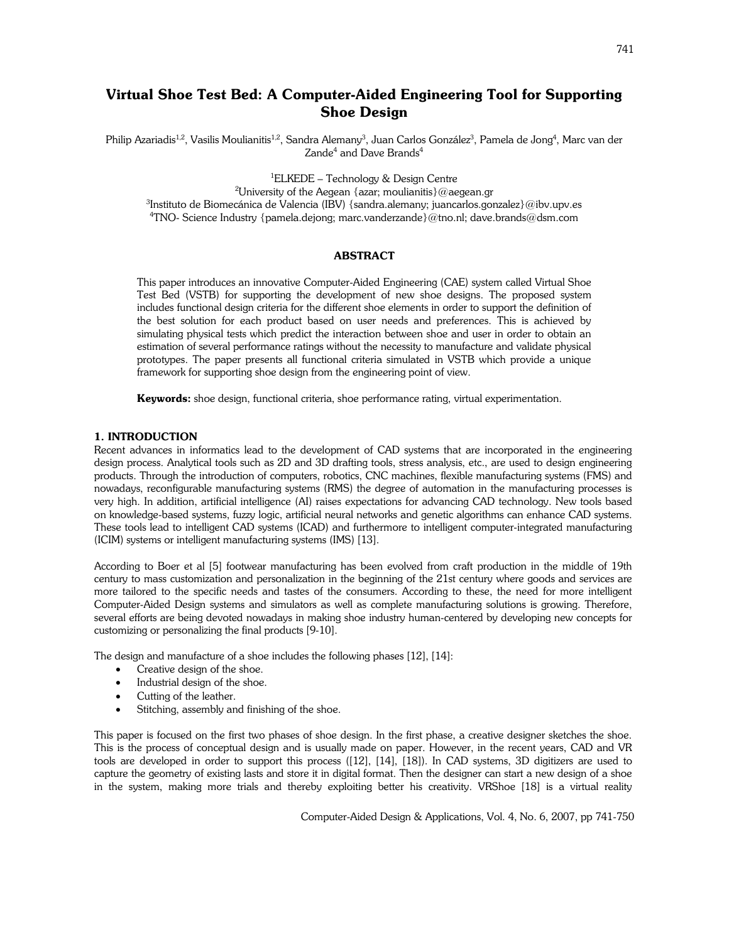# Virtual Shoe Test Bed: A Computer-Aided Engineering Tool for Supporting Shoe Design

Philip Azariadis<sup>1,2</sup>, Vasilis Moulianitis<sup>1,2</sup>, Sandra Alemany<sup>3</sup>, Juan Carlos González<sup>3</sup>, Pamela de Jong<sup>4</sup>, Marc van der Zande $^4$  and Dave Brands $^4$ 

<sup>1</sup>ELKEDE – Technology & Design Centre

<sup>2</sup>University of the Aegean {azar; moulianitis}@aegean.gr

3 Instituto de Biomecánica de Valencia (IBV) {sandra.alemany; juancarlos.gonzalez}@ibv.upv.es <sup>4</sup>TNO- Science Industry {pamela.dejong; marc.vanderzande}@tno.nl; dave.brands@dsm.com

# ABSTRACT

This paper introduces an innovative Computer-Aided Engineering (CAE) system called Virtual Shoe Test Bed (VSTB) for supporting the development of new shoe designs. The proposed system includes functional design criteria for the different shoe elements in order to support the definition of the best solution for each product based on user needs and preferences. This is achieved by simulating physical tests which predict the interaction between shoe and user in order to obtain an estimation of several performance ratings without the necessity to manufacture and validate physical prototypes. The paper presents all functional criteria simulated in VSTB which provide a unique framework for supporting shoe design from the engineering point of view.

Keywords: shoe design, functional criteria, shoe performance rating, virtual experimentation.

#### 1. INTRODUCTION

Recent advances in informatics lead to the development of CAD systems that are incorporated in the engineering design process. Analytical tools such as 2D and 3D drafting tools, stress analysis, etc., are used to design engineering products. Through the introduction of computers, robotics, CNC machines, flexible manufacturing systems (FMS) and nowadays, reconfigurable manufacturing systems (RMS) the degree of automation in the manufacturing processes is very high. In addition, artificial intelligence (AI) raises expectations for advancing CAD technology. New tools based on knowledge-based systems, fuzzy logic, artificial neural networks and genetic algorithms can enhance CAD systems. These tools lead to intelligent CAD systems (ICAD) and furthermore to intelligent computer-integrated manufacturing (ICIM) systems or intelligent manufacturing systems (IMS) [13].

According to Boer et al [5] footwear manufacturing has been evolved from craft production in the middle of 19th century to mass customization and personalization in the beginning of the 21st century where goods and services are more tailored to the specific needs and tastes of the consumers. According to these, the need for more intelligent Computer-Aided Design systems and simulators as well as complete manufacturing solutions is growing. Therefore, several efforts are being devoted nowadays in making shoe industry human-centered by developing new concepts for customizing or personalizing the final products [9-10].

The design and manufacture of a shoe includes the following phases [12], [14]:

- Creative design of the shoe.
- Industrial design of the shoe.
- Cutting of the leather.
- Stitching, assembly and finishing of the shoe.

This paper is focused on the first two phases of shoe design. In the first phase, a creative designer sketches the shoe. This is the process of conceptual design and is usually made on paper. However, in the recent years, CAD and VR tools are developed in order to support this process ([12], [14], [18]). In CAD systems, 3D digitizers are used to capture the geometry of existing lasts and store it in digital format. Then the designer can start a new design of a shoe in the system, making more trials and thereby exploiting better his creativity. VRShoe [18] is a virtual reality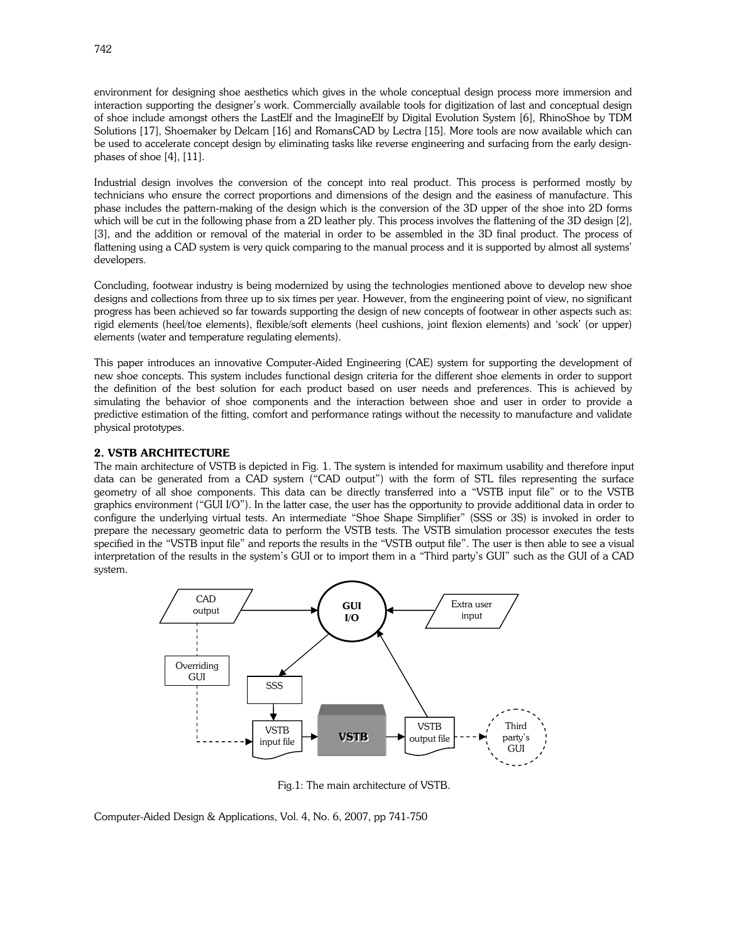environment for designing shoe aesthetics which gives in the whole conceptual design process more immersion and interaction supporting the designer's work. Commercially available tools for digitization of last and conceptual design of shoe include amongst others the LastElf and the ImagineElf by Digital Evolution System [6], RhinoShoe by TDM Solutions [17], Shoemaker by Delcam [16] and RomansCAD by Lectra [15]. More tools are now available which can be used to accelerate concept design by eliminating tasks like reverse engineering and surfacing from the early designphases of shoe [4], [11].

Industrial design involves the conversion of the concept into real product. This process is performed mostly by technicians who ensure the correct proportions and dimensions of the design and the easiness of manufacture. This phase includes the pattern-making of the design which is the conversion of the 3D upper of the shoe into 2D forms which will be cut in the following phase from a 2D leather ply. This process involves the flattening of the 3D design [2], [3], and the addition or removal of the material in order to be assembled in the 3D final product. The process of flattening using a CAD system is very quick comparing to the manual process and it is supported by almost all systems' developers.

Concluding, footwear industry is being modernized by using the technologies mentioned above to develop new shoe designs and collections from three up to six times per year. However, from the engineering point of view, no significant progress has been achieved so far towards supporting the design of new concepts of footwear in other aspects such as: rigid elements (heel/toe elements), flexible/soft elements (heel cushions, joint flexion elements) and 'sock' (or upper) elements (water and temperature regulating elements).

This paper introduces an innovative Computer-Aided Engineering (CAE) system for supporting the development of new shoe concepts. This system includes functional design criteria for the different shoe elements in order to support the definition of the best solution for each product based on user needs and preferences. This is achieved by simulating the behavior of shoe components and the interaction between shoe and user in order to provide a predictive estimation of the fitting, comfort and performance ratings without the necessity to manufacture and validate physical prototypes.

## 2. VSTB ARCHITECTURE

The main architecture of VSTB is depicted in Fig. 1. The system is intended for maximum usability and therefore input data can be generated from a CAD system ("CAD output") with the form of STL files representing the surface geometry of all shoe components. This data can be directly transferred into a "VSTB input file" or to the VSTB graphics environment ("GUI I/O"). In the latter case, the user has the opportunity to provide additional data in order to configure the underlying virtual tests. An intermediate "Shoe Shape Simplifier" (SSS or 3S) is invoked in order to prepare the necessary geometric data to perform the VSTB tests. The VSTB simulation processor executes the tests specified in the "VSTB input file" and reports the results in the "VSTB output file". The user is then able to see a visual interpretation of the results in the system's GUI or to import them in a "Third party's GUI" such as the GUI of a CAD system.



Fig.1: The main architecture of VSTB.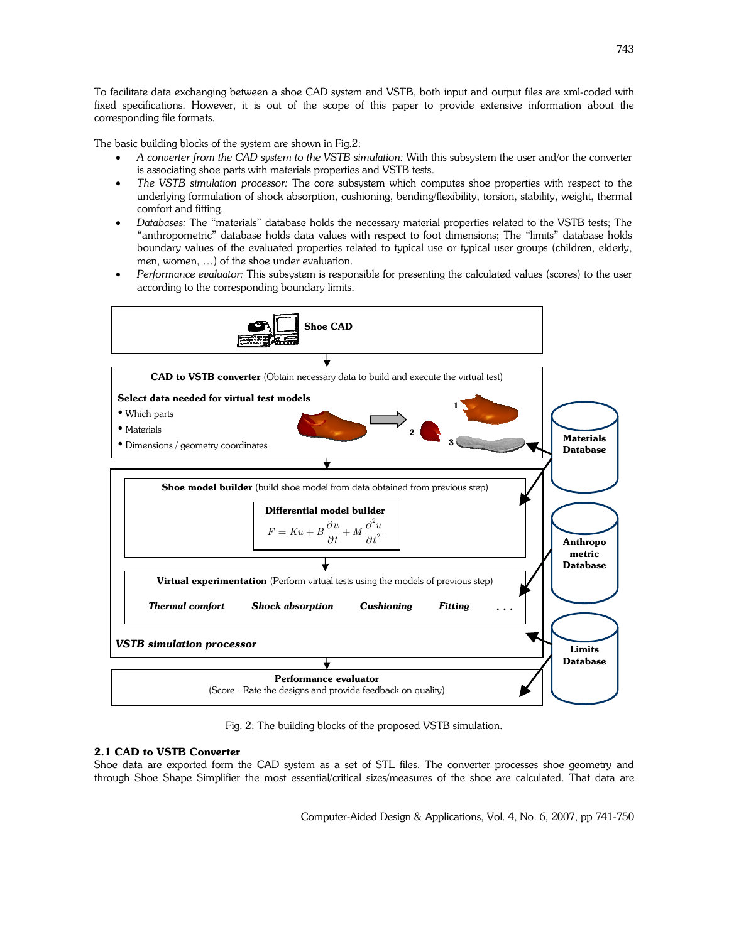To facilitate data exchanging between a shoe CAD system and VSTB, both input and output files are xml-coded with fixed specifications. However, it is out of the scope of this paper to provide extensive information about the corresponding file formats.

The basic building blocks of the system are shown in Fig.2:

- A converter from the CAD system to the VSTB simulation: With this subsystem the user and/or the converter is associating shoe parts with materials properties and VSTB tests.
- The VSTB simulation processor: The core subsystem which computes shoe properties with respect to the underlying formulation of shock absorption, cushioning, bending/flexibility, torsion, stability, weight, thermal comfort and fitting.
- Databases: The "materials" database holds the necessary material properties related to the VSTB tests; The "anthropometric" database holds data values with respect to foot dimensions; The "limits" database holds boundary values of the evaluated properties related to typical use or typical user groups (children, elderly, men, women, …) of the shoe under evaluation.
- Performance evaluator: This subsystem is responsible for presenting the calculated values (scores) to the user according to the corresponding boundary limits.



Fig. 2: The building blocks of the proposed VSTB simulation.

# 2.1 CAD to VSTB Converter

Shoe data are exported form the CAD system as a set of STL files. The converter processes shoe geometry and through Shoe Shape Simplifier the most essential/critical sizes/measures of the shoe are calculated. That data are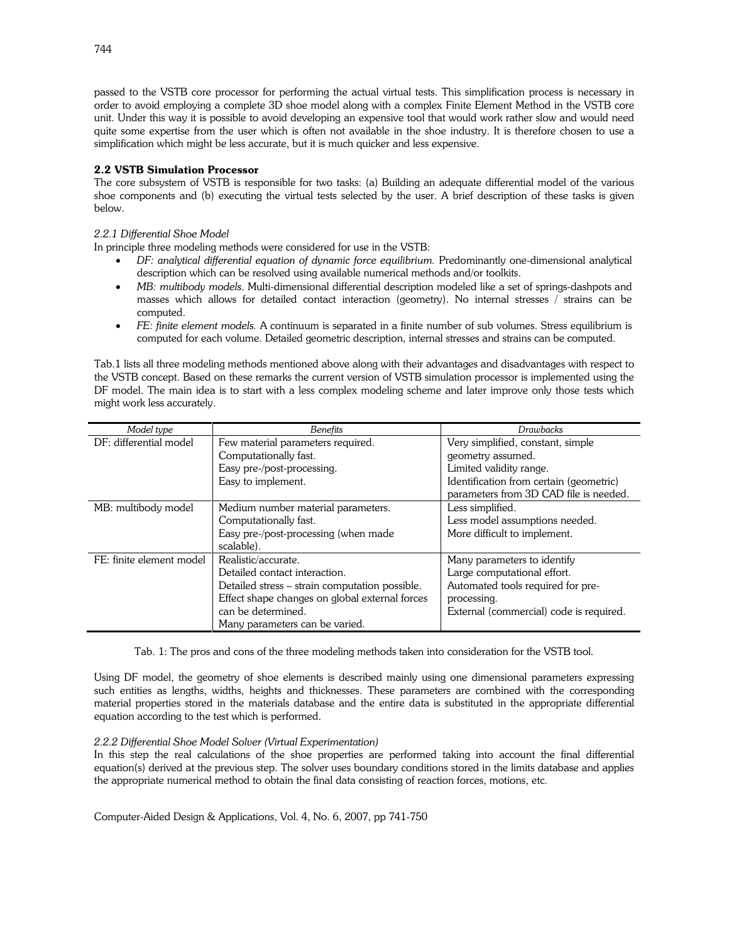passed to the VSTB core processor for performing the actual virtual tests. This simplification process is necessary in order to avoid employing a complete 3D shoe model along with a complex Finite Element Method in the VSTB core unit. Under this way it is possible to avoid developing an expensive tool that would work rather slow and would need quite some expertise from the user which is often not available in the shoe industry. It is therefore chosen to use a simplification which might be less accurate, but it is much quicker and less expensive.

# 2.2 VSTB Simulation Processor

The core subsystem of VSTB is responsible for two tasks: (a) Building an adequate differential model of the various shoe components and (b) executing the virtual tests selected by the user. A brief description of these tasks is given below.

# 2.2.1 Differential Shoe Model

In principle three modeling methods were considered for use in the VSTB:

- DF: analytical differential equation of dynamic force equilibrium. Predominantly one-dimensional analytical description which can be resolved using available numerical methods and/or toolkits.
- MB: multibody models. Multi-dimensional differential description modeled like a set of springs-dashpots and masses which allows for detailed contact interaction (geometry). No internal stresses / strains can be computed.
- FE: finite element models. A continuum is separated in a finite number of sub volumes. Stress equilibrium is computed for each volume. Detailed geometric description, internal stresses and strains can be computed.

Tab.1 lists all three modeling methods mentioned above along with their advantages and disadvantages with respect to the VSTB concept. Based on these remarks the current version of VSTB simulation processor is implemented using the DF model. The main idea is to start with a less complex modeling scheme and later improve only those tests which might work less accurately.

| Model type               | <b>Benefits</b>                                | Drawbacks                               |
|--------------------------|------------------------------------------------|-----------------------------------------|
| DF: differential model   | Few material parameters required.              | Very simplified, constant, simple       |
|                          | Computationally fast.                          | geometry assumed.                       |
|                          | Easy pre-/post-processing.                     | Limited validity range.                 |
|                          | Easy to implement.                             | Identification from certain (geometric) |
|                          |                                                | parameters from 3D CAD file is needed.  |
| MB: multibody model      | Medium number material parameters.             | Less simplified.                        |
|                          | Computationally fast.                          | Less model assumptions needed.          |
|                          | Easy pre-/post-processing (when made           | More difficult to implement.            |
|                          | scalable).                                     |                                         |
| FE: finite element model | Realistic/accurate.                            | Many parameters to identify             |
|                          | Detailed contact interaction.                  | Large computational effort.             |
|                          | Detailed stress – strain computation possible. | Automated tools required for pre-       |
|                          | Effect shape changes on global external forces | processing.                             |
|                          | can be determined.                             | External (commercial) code is required. |
|                          | Many parameters can be varied.                 |                                         |

Tab. 1: The pros and cons of the three modeling methods taken into consideration for the VSTB tool.

Using DF model, the geometry of shoe elements is described mainly using one dimensional parameters expressing such entities as lengths, widths, heights and thicknesses. These parameters are combined with the corresponding material properties stored in the materials database and the entire data is substituted in the appropriate differential equation according to the test which is performed.

# 2.2.2 Differential Shoe Model Solver (Virtual Experimentation)

In this step the real calculations of the shoe properties are performed taking into account the final differential equation(s) derived at the previous step. The solver uses boundary conditions stored in the limits database and applies the appropriate numerical method to obtain the final data consisting of reaction forces, motions, etc.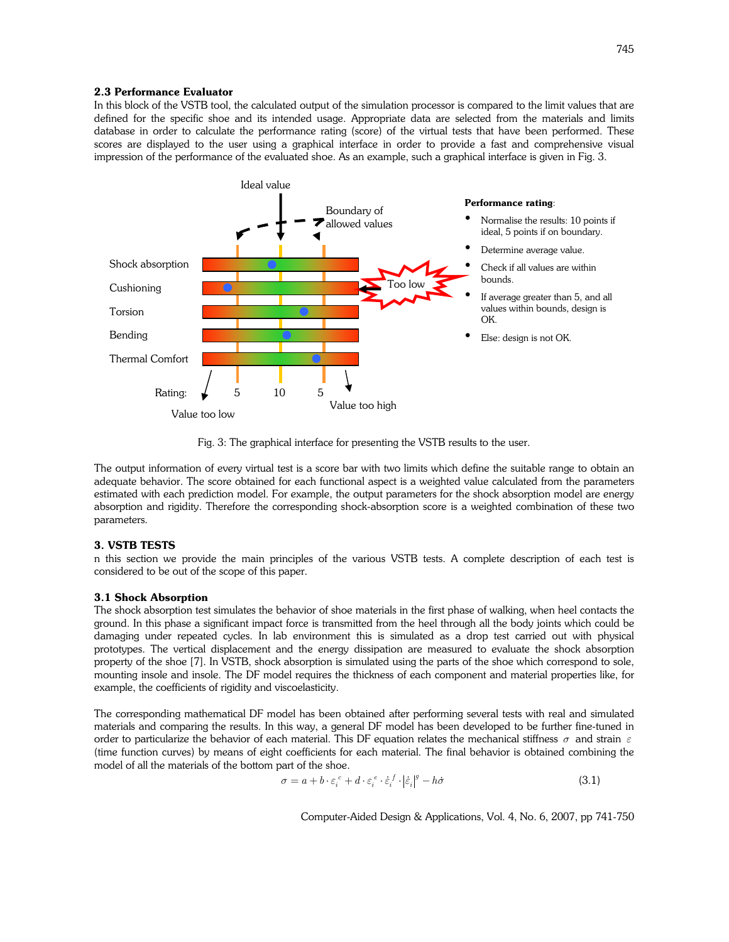#### 2.3 Performance Evaluator

In this block of the VSTB tool, the calculated output of the simulation processor is compared to the limit values that are defined for the specific shoe and its intended usage. Appropriate data are selected from the materials and limits database in order to calculate the performance rating (score) of the virtual tests that have been performed. These scores are displayed to the user using a graphical interface in order to provide a fast and comprehensive visual impression of the performance of the evaluated shoe. As an example, such a graphical interface is given in Fig. 3.



Fig. 3: The graphical interface for presenting the VSTB results to the user.

The output information of every virtual test is a score bar with two limits which define the suitable range to obtain an adequate behavior. The score obtained for each functional aspect is a weighted value calculated from the parameters estimated with each prediction model. For example, the output parameters for the shock absorption model are energy absorption and rigidity. Therefore the corresponding shock-absorption score is a weighted combination of these two parameters.

#### 3. VSTB TESTS

n this section we provide the main principles of the various VSTB tests. A complete description of each test is considered to be out of the scope of this paper.

#### 3.1 Shock Absorption

The shock absorption test simulates the behavior of shoe materials in the first phase of walking, when heel contacts the ground. In this phase a significant impact force is transmitted from the heel through all the body joints which could be damaging under repeated cycles. In lab environment this is simulated as a drop test carried out with physical prototypes. The vertical displacement and the energy dissipation are measured to evaluate the shock absorption property of the shoe [7]. In VSTB, shock absorption is simulated using the parts of the shoe which correspond to sole, mounting insole and insole. The DF model requires the thickness of each component and material properties like, for example, the coefficients of rigidity and viscoelasticity.

The corresponding mathematical DF model has been obtained after performing several tests with real and simulated materials and comparing the results. In this way, a general DF model has been developed to be further fine-tuned in order to particularize the behavior of each material. This DF equation relates the mechanical stiffness  $\sigma$  and strain  $\varepsilon$ (time function curves) by means of eight coefficients for each material. The final behavior is obtained combining the model of all the materials of the bottom part of the shoe.

$$
\sigma = a + b \cdot \varepsilon_i^c + d \cdot \varepsilon_i^e \cdot \dot{\varepsilon}_i^f \cdot |\dot{\varepsilon}_i|^g - h\dot{\sigma}
$$
\n(3.1)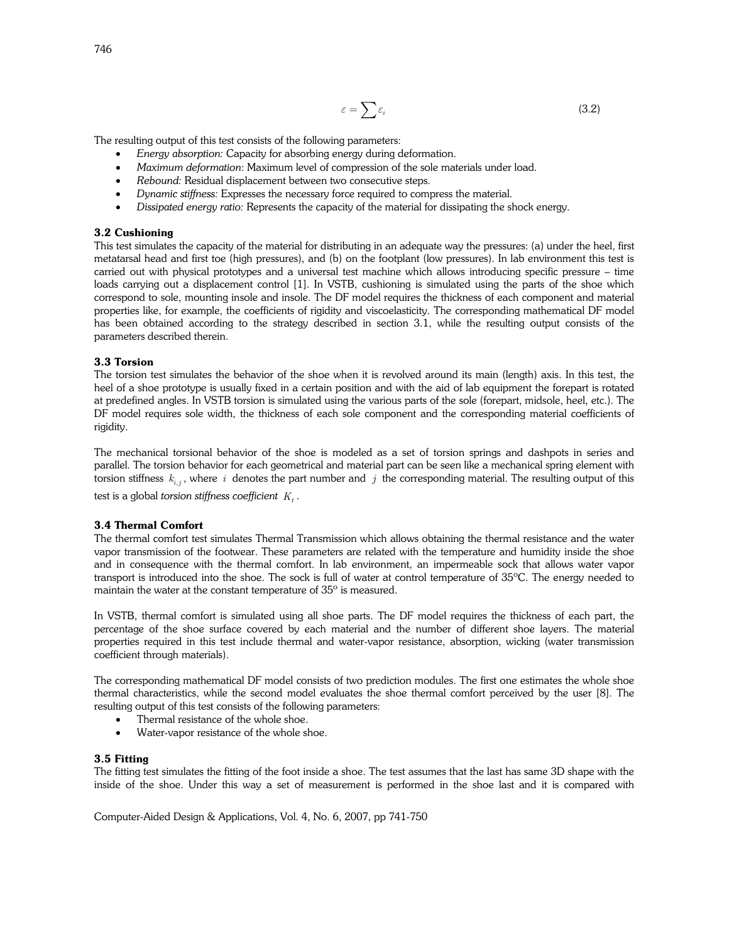$$
\varepsilon = \sum \varepsilon_i \tag{3.2}
$$

The resulting output of this test consists of the following parameters:

- Energy absorption: Capacity for absorbing energy during deformation.
- Maximum deformation: Maximum level of compression of the sole materials under load.
- Rebound: Residual displacement between two consecutive steps.
- Dynamic stiffness: Expresses the necessary force required to compress the material.
- Dissipated energy ratio: Represents the capacity of the material for dissipating the shock energy.

## 3.2 Cushioning

This test simulates the capacity of the material for distributing in an adequate way the pressures: (a) under the heel, first metatarsal head and first toe (high pressures), and (b) on the footplant (low pressures). In lab environment this test is carried out with physical prototypes and a universal test machine which allows introducing specific pressure – time loads carrying out a displacement control [1]. In VSTB, cushioning is simulated using the parts of the shoe which correspond to sole, mounting insole and insole. The DF model requires the thickness of each component and material properties like, for example, the coefficients of rigidity and viscoelasticity. The corresponding mathematical DF model has been obtained according to the strategy described in section 3.1, while the resulting output consists of the parameters described therein.

## 3.3 Torsion

The torsion test simulates the behavior of the shoe when it is revolved around its main (length) axis. In this test, the heel of a shoe prototype is usually fixed in a certain position and with the aid of lab equipment the forepart is rotated at predefined angles. In VSTB torsion is simulated using the various parts of the sole (forepart, midsole, heel, etc.). The DF model requires sole width, the thickness of each sole component and the corresponding material coefficients of rigidity.

The mechanical torsional behavior of the shoe is modeled as a set of torsion springs and dashpots in series and parallel. The torsion behavior for each geometrical and material part can be seen like a mechanical spring element with torsion stiffness  $k_{i,j}$  , where  $\,i\,$  denotes the part number and  $\,j\,$  the corresponding material. The resulting output of this

test is a global torsion stiffness coefficient  $\,K_t$  .

# 3.4 Thermal Comfort

The thermal comfort test simulates Thermal Transmission which allows obtaining the thermal resistance and the water vapor transmission of the footwear. These parameters are related with the temperature and humidity inside the shoe and in consequence with the thermal comfort. In lab environment, an impermeable sock that allows water vapor transport is introduced into the shoe. The sock is full of water at control temperature of 35ºC. The energy needed to maintain the water at the constant temperature of 35º is measured.

In VSTB, thermal comfort is simulated using all shoe parts. The DF model requires the thickness of each part, the percentage of the shoe surface covered by each material and the number of different shoe layers. The material properties required in this test include thermal and water-vapor resistance, absorption, wicking (water transmission coefficient through materials).

The corresponding mathematical DF model consists of two prediction modules. The first one estimates the whole shoe thermal characteristics, while the second model evaluates the shoe thermal comfort perceived by the user [8]. The resulting output of this test consists of the following parameters:

- Thermal resistance of the whole shoe.
- Water-vapor resistance of the whole shoe.

#### 3.5 Fitting

The fitting test simulates the fitting of the foot inside a shoe. The test assumes that the last has same 3D shape with the inside of the shoe. Under this way a set of measurement is performed in the shoe last and it is compared with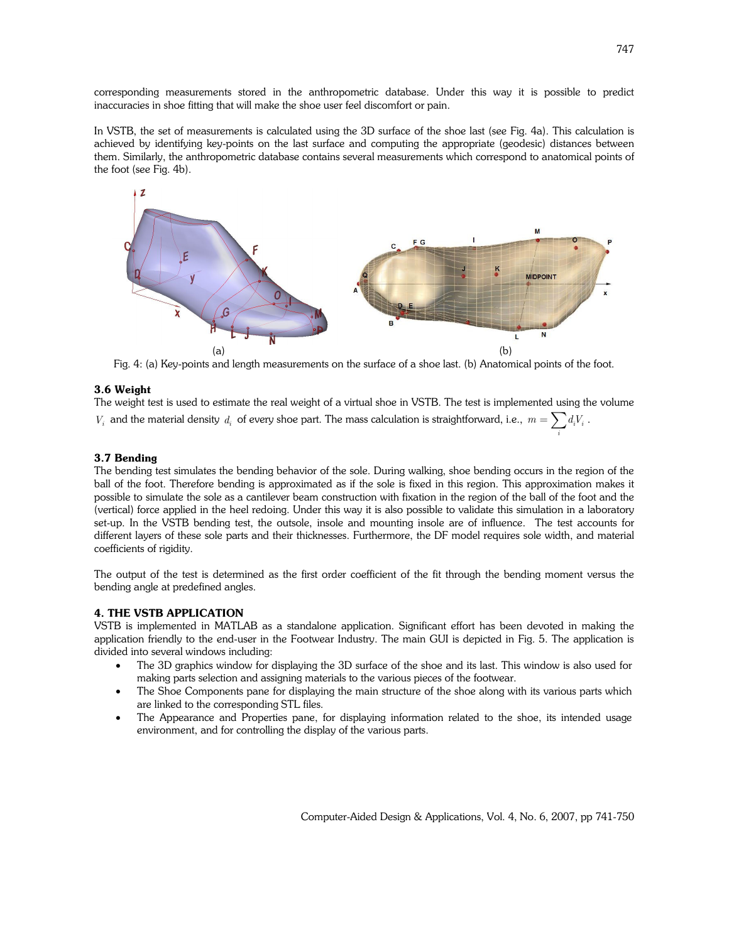corresponding measurements stored in the anthropometric database. Under this way it is possible to predict inaccuracies in shoe fitting that will make the shoe user feel discomfort or pain.

In VSTB, the set of measurements is calculated using the 3D surface of the shoe last (see Fig. 4a). This calculation is achieved by identifying key-points on the last surface and computing the appropriate (geodesic) distances between them. Similarly, the anthropometric database contains several measurements which correspond to anatomical points of the foot (see Fig. 4b).



Fig. 4: (a) Key-points and length measurements on the surface of a shoe last. (b) Anatomical points of the foot.

## 3.6 Weight

The weight test is used to estimate the real weight of a virtual shoe in VSTB. The test is implemented using the volume  $V_i$  and the material density  $d_i$  of every shoe part. The mass calculation is straightforward, i.e.,  $m = \sum d_i V_i$ .

## 3.7 Bending

The bending test simulates the bending behavior of the sole. During walking, shoe bending occurs in the region of the ball of the foot. Therefore bending is approximated as if the sole is fixed in this region. This approximation makes it possible to simulate the sole as a cantilever beam construction with fixation in the region of the ball of the foot and the (vertical) force applied in the heel redoing. Under this way it is also possible to validate this simulation in a laboratory set-up. In the VSTB bending test, the outsole, insole and mounting insole are of influence. The test accounts for different layers of these sole parts and their thicknesses. Furthermore, the DF model requires sole width, and material coefficients of rigidity.

The output of the test is determined as the first order coefficient of the fit through the bending moment versus the bending angle at predefined angles.

#### 4. THE VSTB APPLICATION

VSTB is implemented in MATLAB as a standalone application. Significant effort has been devoted in making the application friendly to the end-user in the Footwear Industry. The main GUI is depicted in Fig. 5. The application is divided into several windows including:

- The 3D graphics window for displaying the 3D surface of the shoe and its last. This window is also used for making parts selection and assigning materials to the various pieces of the footwear.
- The Shoe Components pane for displaying the main structure of the shoe along with its various parts which are linked to the corresponding STL files.
- The Appearance and Properties pane, for displaying information related to the shoe, its intended usage environment, and for controlling the display of the various parts.

i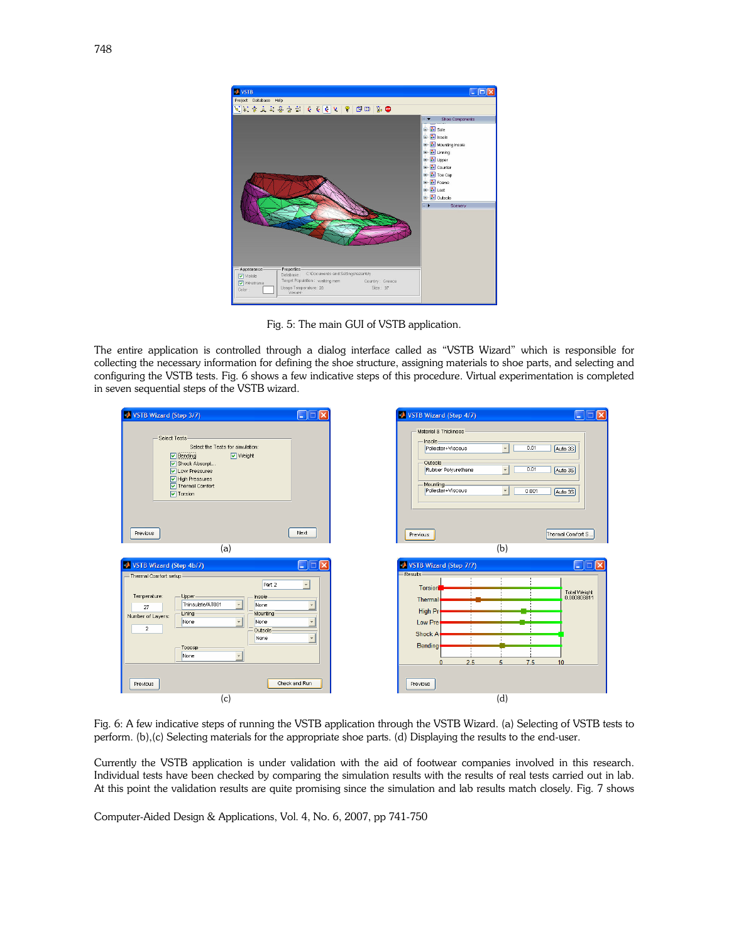

Fig. 5: The main GUI of VSTB application.

The entire application is controlled through a dialog interface called as "VSTB Wizard" which is responsible for collecting the necessary information for defining the shoe structure, assigning materials to shoe parts, and selecting and configuring the VSTB tests. Fig. 6 shows a few indicative steps of this procedure. Virtual experimentation is completed in seven sequential steps of the VSTB wizard.

| VSTB Wizard (Step 3/7)                                                                                                                                                                                                                                  | L.                                                                     | VSTB Wizard (Step 4/7)<br>×<br>L.                                                                                                                                                                                                                                      |
|---------------------------------------------------------------------------------------------------------------------------------------------------------------------------------------------------------------------------------------------------------|------------------------------------------------------------------------|------------------------------------------------------------------------------------------------------------------------------------------------------------------------------------------------------------------------------------------------------------------------|
| Select Tests<br>Select the Tests for simulation:<br>$\nabla$ Bending<br>VVeight<br>Shock Absorpt<br><b>V</b> Low Pressures<br>M High Pressures<br>Thermal Comfort<br>$\boxed{\mathsf{v}}$ Torsion                                                       |                                                                        | Material & Thickness<br>Insole<br>$\overline{\phantom{a}}$<br>0.01<br>Poliester+Viscous<br>Auto 3S<br>Outsole-<br>0.01<br>$\overline{\phantom{a}}$<br>Rubber Polyurethane<br>Auto 3S<br>Mounting-<br>$\overline{\phantom{a}}$<br>Poliester+Viscous<br>0.001<br>Auto 3S |
| Previous                                                                                                                                                                                                                                                | Next                                                                   | Thermal Comfort S<br>Previous                                                                                                                                                                                                                                          |
| (a)                                                                                                                                                                                                                                                     |                                                                        | (b)                                                                                                                                                                                                                                                                    |
| VSTB Wizard (Step 4b/7)<br>- Thermal Comfort setup-<br>Part 2<br>Temperature:<br>Upper<br>Insole-<br>Thinsulate/AT001<br>None<br>27<br>Lining-<br>Mounting-<br>Number of Layers:<br>None<br>None<br>$\overline{a}$<br>Outsole<br>None<br>Toecap<br>None | $\Box$ $\Box$<br>$\mathbb{R}$<br>$\ddot{}$<br>$\overline{\phantom{a}}$ | VSTB Wizard (Step 7/7)<br>$\Box$ $\Box$<br>l×<br>Results<br><b>Torsion</b><br>Total Weight<br>0.000806811<br>Thermal<br>High Pr<br>Low Pre<br><b>Shock A</b><br><b>Bending</b><br>2.5<br>7.5<br>$\mathcal{L}_1$<br>10                                                  |
| Previous<br>(c)                                                                                                                                                                                                                                         | Check and Run                                                          | Previous<br>(d)                                                                                                                                                                                                                                                        |

Fig. 6: A few indicative steps of running the VSTB application through the VSTB Wizard. (a) Selecting of VSTB tests to perform. (b),(c) Selecting materials for the appropriate shoe parts. (d) Displaying the results to the end-user.

Currently the VSTB application is under validation with the aid of footwear companies involved in this research. Individual tests have been checked by comparing the simulation results with the results of real tests carried out in lab. At this point the validation results are quite promising since the simulation and lab results match closely. Fig. 7 shows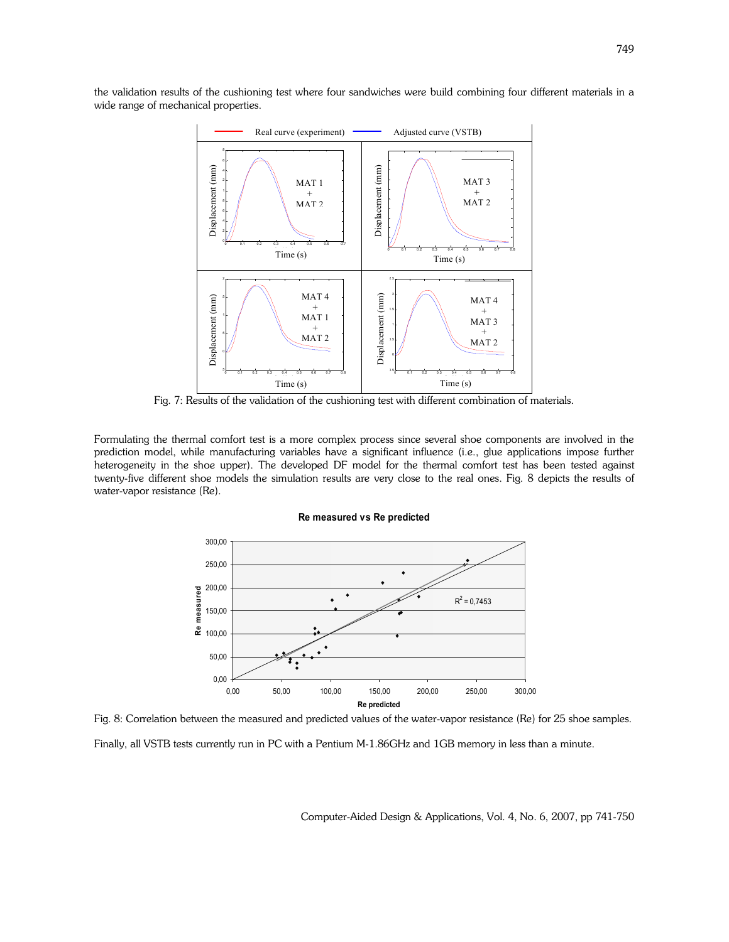the validation results of the cushioning test where four sandwiches were build combining four different materials in a wide range of mechanical properties.



Fig. 7: Results of the validation of the cushioning test with different combination of materials.

Formulating the thermal comfort test is a more complex process since several shoe components are involved in the prediction model, while manufacturing variables have a significant influence (i.e., glue applications impose further heterogeneity in the shoe upper). The developed DF model for the thermal comfort test has been tested against twenty-five different shoe models the simulation results are very close to the real ones. Fig. 8 depicts the results of water-vapor resistance (Re).

#### Re measured vs Re predicted



Fig. 8: Correlation between the measured and predicted values of the water-vapor resistance (Re) for 25 shoe samples.

Finally, all VSTB tests currently run in PC with a Pentium M-1.86GHz and 1GB memory in less than a minute.